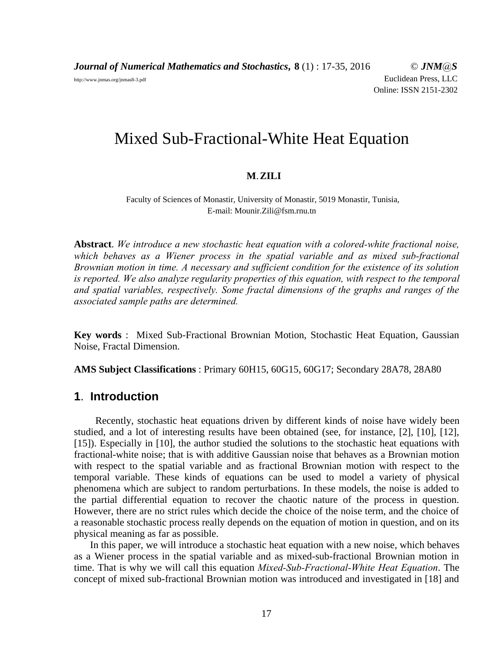*Journal of Numerical Mathematics and Stochastics***, 8** (1) : 17-35, 2016 © *JNM@S* http://www.jnmas.org/jnmas8-3.pdf Euclidean Press, LLC Online: ISSN 2151-2302

Mixed Sub-Fractional-White Heat Equation

### **M**.**ZILI**

Faculty of Sciences of Monastir, University of Monastir, 5019 Monastir, Tunisia, E-mail: Mounir.Zili@fsm.rnu.tn

**Abstract**. *We introduce a new stochastic heat equation with a colored-white fractional noise, which behaves as a Wiener process in the spatial variable and as mixed sub-fractional Brownian motion in time. A necessary and sufficient condition for the existence of its solution is reported. We also analyze regularity properties of this equation, with respect to the temporal and spatial variables, respectively. Some fractal dimensions of the graphs and ranges of the associated sample paths are determined.*

**Key words** : Mixed Sub-Fractional Brownian Motion, Stochastic Heat Equation, Gaussian Noise, Fractal Dimension.

**AMS Subject Classifications** : Primary 60H15, 60G15, 60G17; Secondary 28A78, 28A80

## **1**. **Introduction**

Recently, stochastic heat equations driven by different kinds of noise have widely been studied, and a lot of interesting results have been obtained (see, for instance, [2], [10], [12], [15]). Especially in [10], the author studied the solutions to the stochastic heat equations with fractional-white noise; that is with additive Gaussian noise that behaves as a Brownian motion with respect to the spatial variable and as fractional Brownian motion with respect to the temporal variable. These kinds of equations can be used to model a variety of physical phenomena which are subject to random perturbations. In these models, the noise is added to the partial differential equation to recover the chaotic nature of the process in question. However, there are no strict rules which decide the choice of the noise term, and the choice of a reasonable stochastic process really depends on the equation of motion in question, and on its physical meaning as far as possible.

In this paper, we will introduce a stochastic heat equation with a new noise, which behaves as a Wiener process in the spatial variable and as mixed-sub-fractional Brownian motion in time. That is why we will call this equation *Mixed-Sub-Fractional-White Heat Equation*. The concept of mixed sub-fractional Brownian motion was introduced and investigated in [18] and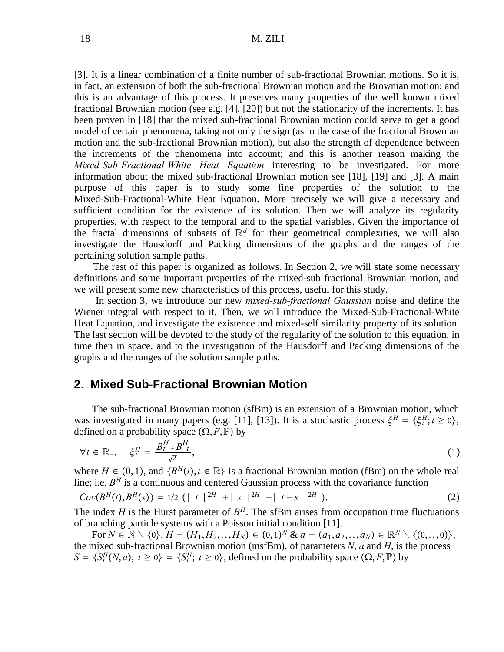[3]. It is a linear combination of a finite number of sub-fractional Brownian motions. So it is, in fact, an extension of both the sub-fractional Brownian motion and the Brownian motion; and this is an advantage of this process. It preserves many properties of the well known mixed fractional Brownian motion (see e.g. [4], [20]) but not the stationarity of the increments. It has been proven in [18] that the mixed sub-fractional Brownian motion could serve to get a good model of certain phenomena, taking not only the sign (as in the case of the fractional Brownian motion and the sub-fractional Brownian motion), but also the strength of dependence between the increments of the phenomena into account; and this is another reason making the *Mixed-Sub-Fractional-White Heat Equation* interesting to be investigated. For more information about the mixed sub-fractional Brownian motion see [18], [19] and [3]. A main purpose of this paper is to study some fine properties of the solution to the Mixed-Sub-Fractional-White Heat Equation. More precisely we will give a necessary and sufficient condition for the existence of its solution. Then we will analyze its regularity properties, with respect to the temporal and to the spatial variables. Given the importance of the fractal dimensions of subsets of  $\mathbb{R}^d$  for their geometrical complexities, we will also investigate the Hausdorff and Packing dimensions of the graphs and the ranges of the pertaining solution sample paths.

The rest of this paper is organized as follows. In Section 2, we will state some necessary definitions and some important properties of the mixed-sub fractional Brownian motion, and we will present some new characteristics of this process, useful for this study.

In section 3, we introduce our new *mixed-sub-fractional Gaussian* noise and define the Wiener integral with respect to it. Then, we will introduce the Mixed-Sub-Fractional-White Heat Equation, and investigate the existence and mixed-self similarity property of its solution. The last section will be devoted to the study of the regularity of the solution to this equation, in time then in space, and to the investigation of the Hausdorff and Packing dimensions of the graphs and the ranges of the solution sample paths.

## **2**. **Mixed Sub**-**Fractional Brownian Motion**

The sub-fractional Brownian motion (sfBm) is an extension of a Brownian motion, which was investigated in many papers (e.g. [11], [13]). It is a stochastic process  $\xi^H = {\xi_t^H; t \ge 0}$ , defined on a probability space  $(\Omega, F, \mathbb{P})$  by

$$
\forall t \in \mathbb{R}_+, \quad \xi_t^H = \frac{B_t^H + B_{-t}^H}{\sqrt{2}}, \tag{1}
$$

where  $H \in (0, 1)$ , and  $\{B^H(t), t \in \mathbb{R}\}\$  is a fractional Brownian motion (fBm) on the whole real line; i.e.  $B<sup>H</sup>$  is a continuous and centered Gaussian process with the covariance function

$$
Cov(B^{H}(t), B^{H}(s)) = 1/2 (|t|^{2H} + |s|^{2H} - |t-s|^{2H}).
$$
\n(2)

The index *H* is the Hurst parameter of  $B<sup>H</sup>$ . The sfBm arises from occupation time fluctuations of branching particle systems with a Poisson initial condition [11].

For *N* ∈  $\mathbb{N} \setminus \{0\}$ , *H* =  $(H_1, H_2, \ldots, H_N)$  ∈  $(0, 1)^N$  &  $a = (a_1, a_2, \ldots, a_N)$  ∈  $\mathbb{R}^N \setminus \{(0, \ldots, 0)\}$ , the mixed sub-fractional Brownian motion (msfBm), of parameters *N*, *a* and *H*, is the process  $S = \{S_t^H(N, a); t \ge 0\} = \{S_t^H; t \ge 0\}$ , defined on the probability space  $(\Omega, F, \mathbb{P})$  by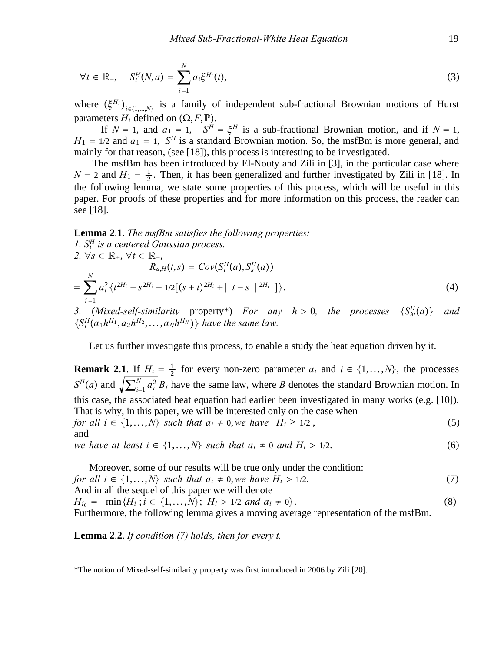$$
\forall t \in \mathbb{R}_+, \quad S_t^H(N, a) = \sum_{i=1}^N a_i \xi^{H_i}(t), \tag{3}
$$

where  $(\xi^{H_i})_{i\in\{1,\dots,N\}}$  is a family of independent sub-fractional Brownian motions of Hurst parameters  $H_i$  defined on  $(\Omega, F, \mathbb{P})$ .

If  $N = 1$ , and  $a_1 = 1$ ,  $S^H = \xi^H$  is a sub-fractional Brownian motion, and if  $N = 1$ ,  $H_1 = 1/2$  and  $a_1 = 1$ ,  $S^H$  is a standard Brownian motion. So, the msfBm is more general, and mainly for that reason, (see [18]), this process is interesting to be investigated.

The msfBm has been introduced by El-Nouty and Zili in [3], in the particular case where  $N = 2$  and  $H_1 = \frac{1}{2}$ . Then, it has been generalized and further investigated by Zili in [18]. In the following lemma, we state some properties of this process, which will be useful in this paper. For proofs of these properties and for more information on this process, the reader can see [18].

## **Lemma 2**.**1**. *The msfBm satisfies the following properties:*

1. 
$$
S_t^H
$$
 is a centered Gaussian process.  
\n2.  $\forall s \in \mathbb{R}_+, \forall t \in \mathbb{R}_+,$   
\n $R_{a,H}(t,s) = Cov(S_t^H(a), S_s^H(a))$   
\n $= \sum_{i=1}^N a_i^2 \{t^{2H_i} + s^{2H_i} - 1/2[(s+t)^{2H_i} + |t-s|^{2H_i}]\}.$  (4)

*3.* (*Mixed-self-similarity* property<sup>\*</sup>) *For any h* > 0*, the processes*  $\{S_{ht}^H(a)\}$  *and*  $\{S_t^H(a_1h^{H_1}, a_2h^{H_2}, \ldots, a_Nh^{H_N})\}$  have the same law.

Let us further investigate this process, to enable a study the heat equation driven by it.

**Remark 2.1.** If  $H_i = \frac{1}{2}$  for every non-zero parameter  $a_i$  and  $i \in \{1, ..., N\}$ , the processes  $S<sup>H</sup>(a)$  and  $\sqrt{\sum_{i=1}^{N} a_i^2 B_t}$  have the same law, where *B* denotes the standard Brownian motion. In this case, the associated heat equation had earlier been investigated in many works (e.g. [10]). That is why, in this paper, we will be interested only on the case when *for all i*  $\in \{1, ..., N\}$  *such that*  $a_i \neq 0$ *, we have*  $H_i \geq 1/2$ , (5) and *we have at least i*  $\in \{1, ..., N\}$  *such that*  $a_i \neq 0$  *and H<sub>i</sub> > 1/2.* (6)

Moreover, some of our results will be true only under the condition: *for all i* ∈  $\{1, \ldots, N\}$  *such that a<sub>i</sub>* ≠ 0,*we have H<sub>i</sub>* > 1/2. (7) And in all the sequel of this paper we will denote  $H_{i_0} = \min\{H_i : i \in \{1, ..., N\}; H_i > 1/2 \text{ and } a_i \neq 0\}.$  (8) Furthermore, the following lemma gives a moving average representation of the msfBm.

**Lemma 2**.**2**. *If condition (7) holds, then for every t,*

\_\_\_\_\_\_\_\_

<sup>\*</sup>The notion of Mixed-self-similarity property was first introduced in 2006 by Zili [20].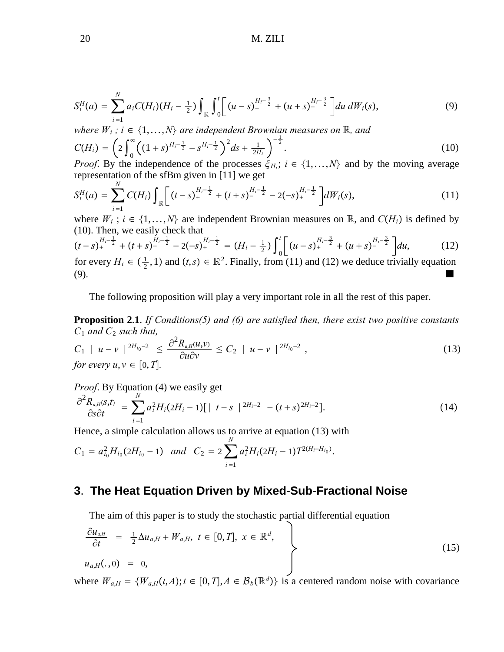$$
S_t^H(a) = \sum_{i=1}^N a_i C(H_i) (H_i - \frac{1}{2}) \int_{\mathbb{R}} \int_0^t \left[ (u-s)_+^{H_i - \frac{3}{2}} + (u+s)_-^{H_i - \frac{3}{2}} \right] du \, dW_i(s), \tag{9}
$$

*where*  $W_i$ ;  $i \in \{1, ..., N\}$  are independent Brownian measures on R, and

$$
C(H_i) = \left(2\int_0^\infty \left((1+s)^{H_i - \frac{1}{2}} - s^{H_i - \frac{1}{2}}\right)^2 ds + \frac{1}{2H_i}\right)^{-\frac{1}{2}}.
$$
\n(10)

*Proof.* By the independence of the processes  $\xi_{H_i}$ ;  $i \in \{1, ..., N\}$  and by the moving average representation of the sfBm given in [11] we get

$$
S_t^H(a) = \sum_{i=1}^N C(H_i) \int_{\mathbb{R}} \left[ (t-s)_+^{H_i - \frac{1}{2}} + (t+s)_-^{H_i - \frac{1}{2}} - 2(-s)_+^{H_i - \frac{1}{2}} \right] dW_i(s), \tag{11}
$$

where  $W_i$ ;  $i \in \{1, ..., N\}$  are independent Brownian measures on R, and  $C(H_i)$  is defined by (10). Then, we easily check that

$$
(t-s)^{\frac{H_i-\frac{1}{2}}{2}} + (t+s)^{\frac{H_i-\frac{1}{2}}{2}} - 2(-s)^{\frac{H_i-\frac{1}{2}}{2}} = (H_i - \frac{1}{2}) \int_0^t \left[ (u-s)^{\frac{H_i-\frac{3}{2}}{2}} + (u+s)^{\frac{H_i-\frac{3}{2}}{2}} \right] du,
$$
(12)

for every  $H_i \in (\frac{1}{2}, 1)$  and  $(t, s) \in \mathbb{R}^2$ . Finally, from (11) and (12) we deduce trivially equation (9).

The following proposition will play a very important role in all the rest of this paper.

**Proposition 2**.**1**. *If Conditions(5) and (6) are satisfied then, there exist two positive constants C*<sup>1</sup> *and C*<sup>2</sup> *such that,*

$$
C_1 \mid u - v \mid^{2H_{i_0-2}} \leq \frac{\partial^2 R_{a,H}(u,v)}{\partial u \partial v} \leq C_2 \mid u - v \mid^{2H_{i_0-2}},
$$
  
for every  $u, v \in [0, T]$ . (13)

*Proof*. By Equation (4) we easily get

$$
\frac{\partial^2 R_{a,H}(s,t)}{\partial s \partial t} = \sum_{i=1}^N a_i^2 H_i (2H_i - 1) [\mid t - s \mid^{2H_i - 2} -(t + s)^{2H_i - 2}]. \tag{14}
$$

Hence, a simple calculation allows us to arrive at equation (13) with

$$
C_1 = a_{i_0}^2 H_{i_0} (2H_{i_0} - 1) \quad \text{and} \quad C_2 = 2 \sum_{i=1}^N a_i^2 H_i (2H_i - 1) T^{2(H_i - H_{i_0})}.
$$

# **3**. **The Heat Equation Driven by Mixed**-**Sub**-**Fractional Noise**

The aim of this paper is to study the stochastic partial differential equation

$$
\begin{aligned}\n\frac{\partial u_{a,H}}{\partial t} &= \frac{1}{2} \Delta u_{a,H} + W_{a,H}, \ t \in [0, T], \ x \in \mathbb{R}^d, \\
u_{a,H}(\cdot, 0) &= 0,\n\end{aligned} \tag{15}
$$

where  $W_{a,H} = \{W_{a,H}(t,A); t \in [0,T], A \in \mathcal{B}_b(\mathbb{R}^d)\}\)$  is a centered random noise with covariance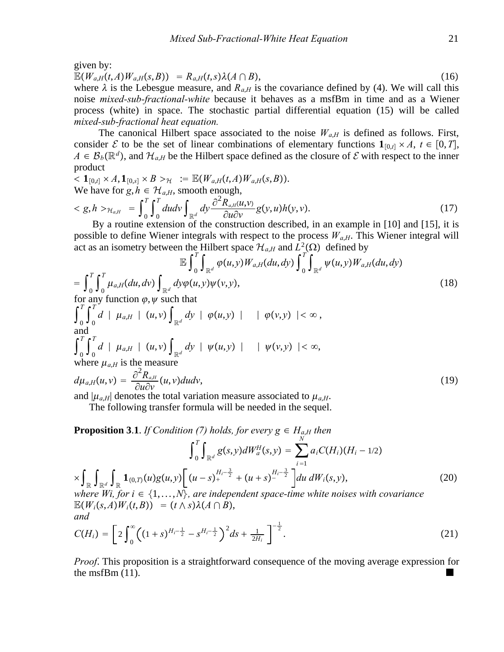given by:

$$
\mathbb{E}(W_{a,H}(t,A)W_{a,H}(s,B)) = R_{a,H}(t,s)\lambda(A \cap B), \qquad (16)
$$

where  $\lambda$  is the Lebesgue measure, and  $R_{a,H}$  is the covariance defined by (4). We will call this noise *mixed-sub-fractional-white* because it behaves as a msfBm in time and as a Wiener process (white) in space. The stochastic partial differential equation (15) will be called *mixed-sub-fractional heat equation.*

The canonical Hilbert space associated to the noise  $W_{a,H}$  is defined as follows. First, consider E to be the set of linear combinations of elementary functions  $\mathbf{1}_{[0,t]} \times A$ ,  $t \in [0,T]$ ,  $A \in \mathcal{B}_b(\mathbb{R}^d)$ , and  $\mathcal{H}_{a,H}$  be the Hilbert space defined as the closure of  $\mathcal E$  with respect to the inner product

$$
\langle \mathbf{1}_{[0,t]} \times A, \mathbf{1}_{[0,s]} \times B \rangle_{\mathcal{H}} := \mathbb{E}(W_{a,H}(t,A)W_{a,H}(s,B)).
$$
  
We have for  $g, h \in \mathcal{H}_{a,H}$ , smooth enough,  

$$
\langle g, h \rangle_{\mathcal{H}_{a,H}} = \int_0^T \int_0^T du dv \int_{\mathbb{R}^d} dy \frac{\partial^2 R_{a,H}(u,v)}{\partial u \partial v} g(y,u) h(y,v).
$$
 (17)

By a routine extension of the construction described, in an example in [10] and [15], it is possible to define Wiener integrals with respect to the process  $W_{a,H}$ . This Wiener integral will act as an isometry between the Hilbert space  $\mathcal{H}_{a,H}$  and  $L^2(\Omega)$  defined by

$$
\mathbb{E}\int_{0}^{T}\int_{\mathbb{R}^{d}}\varphi(u,y)W_{a,H}(du,dy)\int_{0}^{T}\int_{\mathbb{R}^{d}}\psi(u,y)W_{a,H}(du,dy)
$$
\n
$$
=\int_{0}^{T}\int_{0}^{T}\mu_{a,H}(du,dv)\int_{\mathbb{R}^{d}}dy\varphi(u,y)\psi(v,y),\tag{18}
$$
\nfor any function  $\varphi$ ,  $\psi$  such that

for any function  $\varphi, \psi$  such that

$$
\int_{0}^{1} \int_{0}^{1} d \mid \mu_{a,H} \mid (u, v) \int_{\mathbb{R}^{d}} dy \mid \varphi(u, y) \mid \quad |\varphi(v, y)| < \infty,
$$
\nand\n
$$
\int_{0}^{T} \int_{0}^{T} d \mid \mu_{a,H} \mid (u, v) \int_{\mathbb{R}^{d}} dy \mid \psi(u, y) \mid \quad |\psi(v, y)| < \infty,
$$
\nwhere  $\mu_{a,H}$  is the measure\n
$$
d\mu_{a,H}(u, v) = \frac{\partial^{2} R_{a,H}}{\partial u \partial x_{a}}(u, v) du dv,
$$
\n(19)

$$
d\mu_{a,H}(u,v) = \frac{\partial \mathbf{R}_{a,H}}{\partial u \partial v}(u,v) du dv,
$$
\n(19)

and  $|\mu_{a,H}|$  denotes the total variation measure associated to  $\mu_{a,H}$ .

The following transfer formula will be needed in the sequel.

**Proposition 3.1.** *If Condition (7) holds, for every*  $g \in H_{a,H}$  *then* 

$$
\int_{0}^{T} \int_{\mathbb{R}^{d}} g(s, y) dW_{a}^{H}(s, y) = \sum_{i=1}^{N} a_{i} C(H_{i}) (H_{i} - 1/2)
$$
  
\n
$$
\times \int_{\mathbb{R}} \int_{\mathbb{R}^{d}} \int_{\mathbb{R}} \mathbf{1}_{(0, T)} (u) g(u, y) \Big[ (u - s)_{+}^{H_{i} - \frac{3}{2}} + (u + s)_{-}^{H_{i} - \frac{3}{2}} \Big] du dW_{i}(s, y),
$$
  
\nwhere Wi, for  $i \in \{1, ..., N\}$ , are independent space-time white noises with covariance  
\n
$$
\mathbb{E}(W_{i}(s, A) W_{i}(t, B)) = (t \wedge s) \lambda (A \cap B),
$$
  
\nand  
\n
$$
C(H_{i}) = \Big[ 2 \int_{0}^{\infty} ((1 + s)^{H_{i} - \frac{1}{2}} - s^{H_{i} - \frac{1}{2}})^{2} ds + \frac{1}{2H_{i}} \Big]^{-\frac{1}{2}}.
$$
\n(21)

*Proof*. This proposition is a straightforward consequence of the moving average expression for the msfBm  $(11)$ .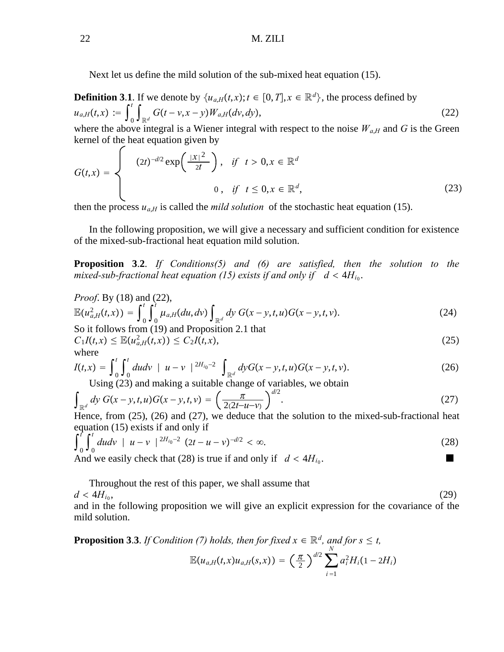Next let us define the mild solution of the sub-mixed heat equation (15).

**Definition 3.1**. If we denote by  $\{u_{a,H}(t,x); t \in [0,T], x \in \mathbb{R}^d\}$ , the process defined by  $u_{a,H}(t,x) := \int_0^t$  $\int_{\mathbb{R}^d} G(t - v, x - y) W_{a,H}(dv, dy),$ (22) where the above integral is a Wiener integral with respect to the noise  $W_{a,H}$  and  $G$  is the Green

$$
G(t,x) = \begin{cases} (2t)^{-d/2} \exp\left(\frac{|x|^2}{2t}\right), & \text{if } t > 0, x \in \mathbb{R}^d \\ 0, & \text{if } t \leq 0, x \in \mathbb{R}^d, \end{cases}
$$
 (23)

then the process  $u_{a,H}$  is called the *mild solution* of the stochastic heat equation (15).

In the following proposition, we will give a necessary and sufficient condition for existence of the mixed-sub-fractional heat equation mild solution.

**Proposition 3**.**2**. *If Conditions(5) and (6) are satisfied, then the solution to the mixed-sub-fractional heat equation (15) exists if and only if*  $d < 4H_{i_0}$ *.* 

*Proof.* By (18) and (22),  
\n
$$
\mathbb{E}(u_{a,H}^2(t,x)) = \int_0^t \int_0^t \mu_{a,H}(du, dv) \int_{\mathbb{R}^d} dy \ G(x-y,t,u)G(x-y,t,v).
$$
\n(24)

So it follows from (19) and Proposition 2.1 that  
\n
$$
C_1I(t,x) \le \mathbb{E}(u_{a,H}^2(t,x)) \le C_2I(t,x),
$$
\n(25)

where

$$
I(t,x) = \int_0^t \int_0^t du dv \mid u - v \mid^{2H_{i_0}-2} \int_{\mathbb{R}^d} dy G(x - y, t, u) G(x - y, t, v).
$$
 (26)

Using (23) and making a suitable change of variables, we obtain

$$
\int_{\mathbb{R}^d} dy \ G(x - y, t, u) G(x - y, t, v) = \left(\frac{\pi}{2(2t - u - v)}\right)^{d/2}.
$$
\n(27)

Hence, from (25), (26) and (27), we deduce that the solution to the mixed-sub-fractional heat equation (15) exists if and only if

$$
\int_0^t \int_0^t du dv \quad | \quad u - v \mid \quad ^{2H_{i_0}-2} \quad (2t - u - v)^{-d/2} < \infty. \tag{28}
$$

And we easily check that (28) is true if and only if  $d < 4H_{i_0}$ .

Throughout the rest of this paper, we shall assume that

$$
d < 4H_{i_0},\tag{29}
$$

and in the following proposition we will give an explicit expression for the covariance of the mild solution.

**Proposition 3.3.** *If Condition (7) holds, then for fixed*  $x \in \mathbb{R}^d$ *, and for*  $s \le t$ *,* 

$$
\mathbb{E}(u_{a,H}(t,x)u_{a,H}(s,x)) = \left(\frac{\pi}{2}\right)^{d/2} \sum_{i=1}^N a_i^2 H_i(1-2H_i)
$$

kernel of the heat equation given by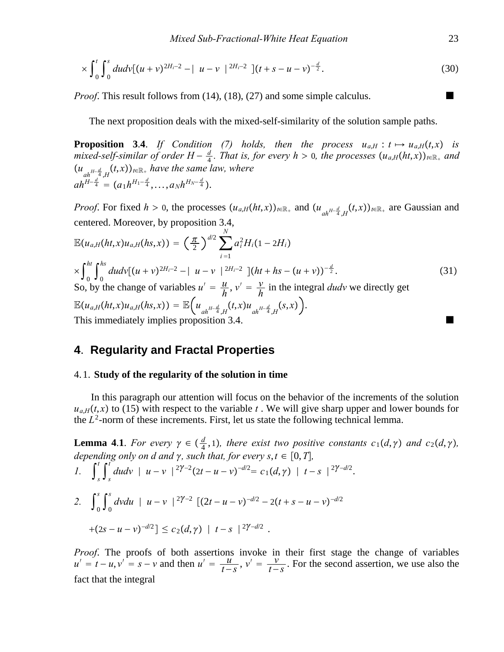$$
\times \int_0^t \int_0^s du dv [(u+v)^{2H_i-2} - | u-v |^{2H_i-2} ] (t+s-u-v)^{-\frac{d}{2}}.
$$
 (30)

*Proof.* This result follows from (14), (18), (27) and some simple calculus.

The next proposition deals with the mixed-self-similarity of the solution sample paths.

**Proposition 3.4.** *If Condition (7) holds, then the process*  $u_{a,H}: t \mapsto u_{a,H}(t,x)$  *is mixed-self-similar of order*  $H - \frac{d}{4}$ *. That is, for every h* > 0*, the processes*  $(u_{a,H}(ht, x))_{t \in \mathbb{R}_+}$  and  $(u_{ah^{H-\frac{d}{4}},H}(t,x))_{t\in\mathbb{R}_+}$  have the same law, where  $ah^{H-\frac{d}{4}} = (a_1h^{H_1-\frac{d}{4}},...,a_Nh^{H_N-\frac{d}{4}}).$ 

*Proof.* For fixed  $h > 0$ , the processes  $(u_{a,H}(ht,x))_{t \in \mathbb{R}_+}$  and  $(u_{ah^{H-\frac{d}{4}},H}(t,x))_{t \in \mathbb{R}_+}$  are Gaussian and centered. Moreover, by proposition 3.4,

$$
\mathbb{E}(u_{a,H}(ht,x)u_{a,H}(hs,x)) = \left(\frac{\pi}{2}\right)^{d/2} \sum_{i=1}^{N} a_i^2 H_i (1 - 2H_i)
$$
\n
$$
\times \int_0^{ht} \int_0^{hs} du dv [(u+v)^{2H_i-2} - |u-v|^{2H_i-2}] (ht + hs - (u+v))^{-\frac{d}{2}}.
$$
\nSo, by the change of variables  $u' = \frac{u}{h}$ ,  $v' = \frac{v}{h}$  in the integral *dudv* we directly get\n
$$
\mathbb{E}(u_{a,H}(ht,x)u_{a,H}(hs,x)) = \mathbb{E}\left(u_{ah^{H-\frac{d}{4}},H}(t,x)u_{ah^{H-\frac{d}{4}},H}(s,x)\right).
$$
\nThis immediately implies proposition 3.4.

# **4**. **Regularity and Fractal Properties**

#### 4. 1. **Study of the regularity of the solution in time**

In this paragraph our attention will focus on the behavior of the increments of the solution  $u_{a,H}(t,x)$  to (15) with respect to the variable *t*. We will give sharp upper and lower bounds for the  $L^2$ -norm of these increments. First, let us state the following technical lemma.

**Lemma 4.1**. For every  $\gamma \in \left(\frac{d}{4}, 1\right)$ , there exist two positive constants  $c_1(d, \gamma)$  and  $c_2(d, \gamma)$ , *depending only on d and*  $\gamma$ *, such that, for every s, t*  $\in$  [0, *T*], *l*.  $\int_{s}^{t}$  $\int_s^t \int_s^t$  $\int_{0}^{t}$  *dudv* | *u* − *v* |  $2\gamma^{-2}(2t - u - v)^{-d/2} = c_1(d, \gamma)$  |  $t - s$  |  $2\gamma^{-d/2}$ . 2.  $\int_0^s$  $\int_0^s \int_0^s$  $\int_a^s$  *dvdu* | *u* − *v* | <sup>2 $\gamma$ −2  $[(2t - u - v)^{-d/2} - 2(t + s - u - v)^{-d/2}]$ </sup>  $+(2s - u - v)^{-d/2}$ ] <  $c_2(d, \gamma)$  |  $t - s$  | <sup>2 $\gamma$ -d/2</sup>.

*Proof*. The proofs of both assertions invoke in their first stage the change of variables  $u' = t - u$ ,  $v' = s - v$  and then  $u' = \frac{u}{t - s}$ ,  $v' = \frac{v}{t - s}$ . For the second assertion, we use also the fact that the integral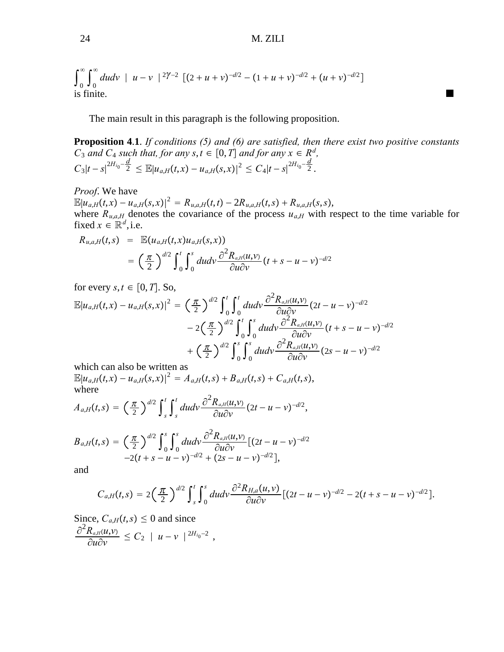$$
\int_0^\infty \int_0^\infty du dv \mid u - v \mid^{2\gamma - 2} \left[ (2 + u + v)^{-d/2} - (1 + u + v)^{-d/2} + (u + v)^{-d/2} \right]
$$
  
is finite.

The main result in this paragraph is the following proposition.

**Proposition 4**.**1**. *If conditions (5) and (6) are satisfied, then there exist two positive constants C*<sub>3</sub> *and C*<sub>4</sub> *such that, for any s, t*  $\in$  [0, *T*] *and for any x*  $\in$  *R<sup>d</sup>*,  $C_3|t-s|^{2H_{i_0}-\frac{d}{2}} \leq \mathbb{E}|u_{a,H}(t,x)-u_{a,H}(s,x)|^2 \leq C_4|t-s|^{2H_{i_0}-\frac{d}{2}}.$ 

#### *Proof*. We have

 $\mathbb{E}|u_{a,H}(t,x)-u_{a,H}(s,x)|^2 = R_{u,a,H}(t,t) - 2R_{u,a,H}(t,s) + R_{u,a,H}(s,s),$ where  $R_{u,a,H}$  denotes the covariance of the process  $u_{a,H}$  with respect to the time variable for fixed  $x \in \mathbb{R}^d$ , i.e.

$$
R_{u,a,H}(t,s) = \mathbb{E}(u_{a,H}(t,x)u_{a,H}(s,x))
$$
  
= 
$$
\left(\frac{\pi}{2}\right)^{d/2} \int_0^t \int_0^s du dv \frac{\partial^2 R_{a,H}(u,v)}{\partial u \partial v} (t+s-u-v)^{-d/2}
$$

for every  $s, t \in [0, T]$ . So,

$$
\mathbb{E}|u_{a,H}(t,x)-u_{a,H}(s,x)|^2 = \left(\frac{\pi}{2}\right)^{d/2} \int_0^t \int_0^t du dv \frac{\partial^2 R_{a,H}(u,v)}{\partial u \partial v} (2t-u-v)^{-d/2} \n-2\left(\frac{\pi}{2}\right)^{d/2} \int_0^t \int_0^s du dv \frac{\partial^2 R_{a,H}(u,v)}{\partial u \partial v} (t+s-u-v)^{-d/2} \n+ \left(\frac{\pi}{2}\right)^{d/2} \int_0^s \int_0^s du dv \frac{\partial^2 R_{a,H}(u,v)}{\partial u \partial v} (2s-u-v)^{-d/2}
$$

which can also be written as

 $\mathbb{E}|u_{a,H}(t,x)-u_{a,H}(s,x)|^2 = A_{a,H}(t,s) + B_{a,H}(t,s) + C_{a,H}(t,s),$ where

$$
A_{a,H}(t,s)=\left(\frac{\pi}{2}\right)^{d/2}\int_{s}^{t}\int_{s}^{t}dudv\frac{\partial^{2}R_{a,H}(u,v)}{\partial u\partial v}(2t-u-v)^{-d/2},
$$

$$
B_{a,H}(t,s) = \left(\frac{\pi}{2}\right)^{d/2} \int_0^s \int_0^s du dv \frac{\partial^2 R_{a,H}(u,v)}{\partial u \partial v} [(2t-u-v)^{-d/2} -2(t+s-u-v)^{-d/2} + (2s-u-v)^{-d/2}],
$$

and

$$
C_{a,H}(t,s)=2\left(\frac{\pi}{2}\right)^{d/2}\int_s^t\int_0^s dudv\frac{\partial^2 R_{H,a}(u,v)}{\partial u\partial v}[(2t-u-v)^{-d/2}-2(t+s-u-v)^{-d/2}].
$$

Since,  $C_{a,H}(t,s) \leq 0$  and since  $\partial^2 R_{a,H}$ <sub>*u*</sub>,*v*)  $\frac{\partial K_{a,H}(u,v)}{\partial u \partial v} \leq C_2 \mid u-v \mid^{2H_{i_0}-2}$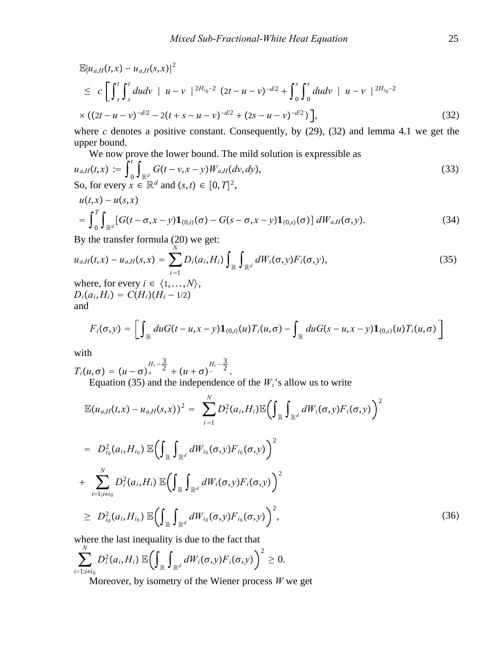$$
\mathbb{E}|u_{a,H}(t,x) - u_{a,H}(s,x)|^2
$$
\n
$$
\leq c \left[ \int_s^t \int_s^t du dv \mid u - v \mid^{2H_{i_0-2}} (2t - u - v)^{-d/2} + \int_0^s \int_0^s du dv \mid u - v \mid^{2H_{i_0-2}} \right]
$$
\n
$$
\times ((2t - u - v)^{-d/2} - 2(t + s - u - v)^{-d/2} + (2s - u - v)^{-d/2}) \Big],
$$
\n(32)

where *c* denotes a positive constant. Consequently, by (29), (32) and lemma 4.1 we get the upper bound.

We now prove the lower bound. The mild solution is expressible as  
\n
$$
u_{a,H}(t,x) := \int_0^t \int_{\mathbb{R}^d} G(t - v, x - y) W_{a,H}(dv, dy),
$$
\nSo, for every  $x \in \mathbb{R}^d$  and  $(s, t) \in [0, T]^2$ , (33)

$$
u(t,x) - u(s,x)
$$
  
=  $\int_0^T \int_{\mathbb{R}^d} [G(t-\sigma,x-y) \mathbf{1}_{(0,t)}(\sigma) - G(s-\sigma,x-y) \mathbf{1}_{(0,s)}(\sigma)] dW_{a,H}(\sigma,y).$  (34)

By the transfer formula (20) we get:

$$
u_{a,H}(t,x) - u_{a,H}(s,x) = \sum_{i=1}^{N} D_i(a_i, H_i) \int_{\mathbb{R}} \int_{\mathbb{R}^d} dW_i(\sigma, y) F_i(\sigma, y),
$$
  
where, for every  $i \in \{1, ..., N\},$  (35)

 $D_i(a_i, H_i) = C(H_i)(H_i - 1/2)$ and

$$
F_i(\sigma, y) = \left[ \int_{\mathbb{R}} du G(t - u, x - y) \mathbf{1}_{(0,t)}(u) T_i(u, \sigma) - \int_{\mathbb{R}} du G(s - u, x - y) \mathbf{1}_{(0,s)}(u) T_i(u, \sigma) \right]
$$

with

 $T_i(u,\sigma) = (u-\sigma)_+$  $H_i - \frac{3}{2}$  $\sqrt{2}$  +  $(u + \sigma)$ - $H_i - \frac{3}{2}$  $\overline{2}$ .

Equation (35) and the independence of the  $W_i$ 's allow us to write

$$
\mathbb{E}(u_{a,H}(t,x) - u_{a,H}(s,x))^2 = \sum_{i=1}^N D_i^2(a_i, H_i) \mathbb{E} \Big( \int_{\mathbb{R}} \int_{\mathbb{R}^d} dW_i(\sigma, y) F_i(\sigma, y) \Big)^2 \n= D_{i_0}^2(a_i, H_{i_0}) \mathbb{E} \Big( \int_{\mathbb{R}} \int_{\mathbb{R}^d} dW_{i_0}(\sigma, y) F_{i_0}(\sigma, y) \Big)^2 \n+ \sum_{i=1; i \neq i_0}^N D_i^2(a_i, H_i) \mathbb{E} \Big( \int_{\mathbb{R}} \int_{\mathbb{R}^d} dW_i(\sigma, y) F_i(\sigma, y) \Big)^2 \n\geq D_{i_0}^2(a_i, H_{i_0}) \mathbb{E} \Big( \int_{\mathbb{R}} \int_{\mathbb{R}^d} dW_{i_0}(\sigma, y) F_{i_0}(\sigma, y) \Big)^2,
$$
\n(36)

where the last inequality is due to the fact that

$$
\sum_{i=1;i\neq i_0}^N D_i^2(a_i,H_i) \mathbb{E}\left(\int_{\mathbb{R}}\int_{\mathbb{R}^d} dW_i(\sigma,y)F_i(\sigma,y)\right)^2\geq 0.
$$

Moreover, by isometry of the Wiener process *W* we get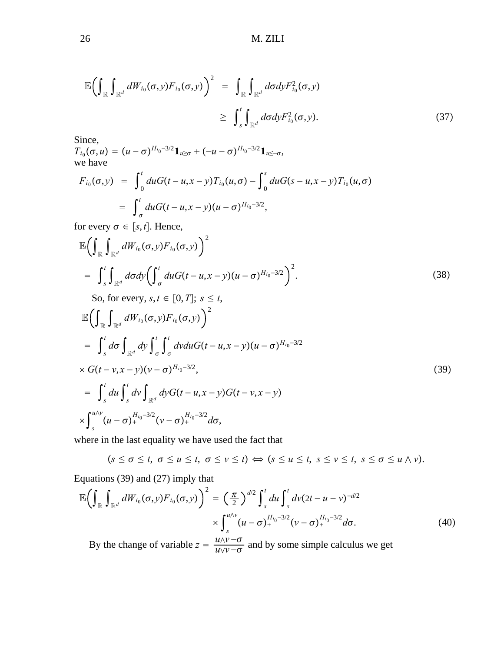$$
\mathbb{E}\left(\int_{\mathbb{R}}\int_{\mathbb{R}^{d}}dW_{i_{0}}(\sigma,y)F_{i_{0}}(\sigma,y)\right)^{2} = \int_{\mathbb{R}}\int_{\mathbb{R}^{d}}d\sigma dy F_{i_{0}}^{2}(\sigma,y)
$$
\n
$$
\geq \int_{s}^{t}\int_{\mathbb{R}^{d}}d\sigma dy F_{i_{0}}^{2}(\sigma,y).
$$
\n(37)

Since,

 $T_{i_0}(\sigma, u) = (u - \sigma)^{H_{i_0} - 3/2} \mathbf{1}_{u \ge \sigma} + (-u - \sigma)^{H_{i_0} - 3/2} \mathbf{1}_{u \le -\sigma},$ we have

$$
F_{i_0}(\sigma, y) = \int_0^t du G(t - u, x - y) T_{i_0}(u, \sigma) - \int_0^s du G(s - u, x - y) T_{i_0}(u, \sigma)
$$
  
= 
$$
\int_{\sigma}^t du G(t - u, x - y) (u - \sigma)^{H_{i_0} - 3/2},
$$

for every  $\sigma \in [s, t]$ . Hence,

$$
\mathbb{E}\bigg(\int_{\mathbb{R}}\int_{\mathbb{R}^{d}}dW_{i_{0}}(\sigma,y)F_{i_{0}}(\sigma,y)\bigg)^{2} = \int_{s}^{t}\int_{\mathbb{R}^{d}}d\sigma dy\bigg(\int_{\sigma}^{t}duG(t-u,x-y)(u-\sigma)^{H_{i_{0}}-3/2}\bigg)^{2}.
$$
\n(38)

So, for every,  $s, t \in [0, T]$ ;  $s \leq t$ ,

$$
\mathbb{E}\Big(\int_{\mathbb{R}}\int_{\mathbb{R}^{d}}dW_{i_{0}}(\sigma,y)F_{i_{0}}(\sigma,y)\Big)^{2}\n= \int_{s}^{t}d\sigma\int_{\mathbb{R}^{d}}dy\int_{\sigma}^{t}\int_{\sigma}^{t}dvduG(t-u,x-y)(u-\sigma)^{H_{i_{0}}-3/2}\n\times G(t-v,x-y)(v-\sigma)^{H_{i_{0}}-3/2},\n= \int_{s}^{t}du\int_{s}^{t}dv\int_{\mathbb{R}^{d}}dyG(t-u,x-y)G(t-v,x-y)\n\times\int_{s}^{u\wedge v}(u-\sigma)^{H_{i_{0}}-3/2}_{+}(v-\sigma)^{H_{i_{0}}-3/2}_{+}d\sigma,
$$
\n(39)

where in the last equality we have used the fact that

 $(s \leq \sigma \leq t, \sigma \leq u \leq t, \sigma \leq v \leq t) \Leftrightarrow (s \leq u \leq t, s \leq v \leq t, s \leq \sigma \leq u \wedge v).$ 

Equations (39) and (27) imply that

$$
\mathbb{E}\left(\int_{\mathbb{R}}\int_{\mathbb{R}^{d}}dW_{i_{0}}(\sigma,y)F_{i_{0}}(\sigma,y)\right)^{2} = \left(\frac{\pi}{2}\right)^{d/2}\int_{s}^{t}du\int_{s}^{t}dv(2t-u-v)^{-d/2}
$$

$$
\times\int_{s}^{u/v}(u-\sigma)_{+}^{H_{i_{0}}-3/2}(v-\sigma)_{+}^{H_{i_{0}}-3/2}d\sigma.
$$
(40)

By the change of variable  $z = \frac{u \wedge v - \sigma}{u \vee v - \sigma}$  and by some simple calculus we get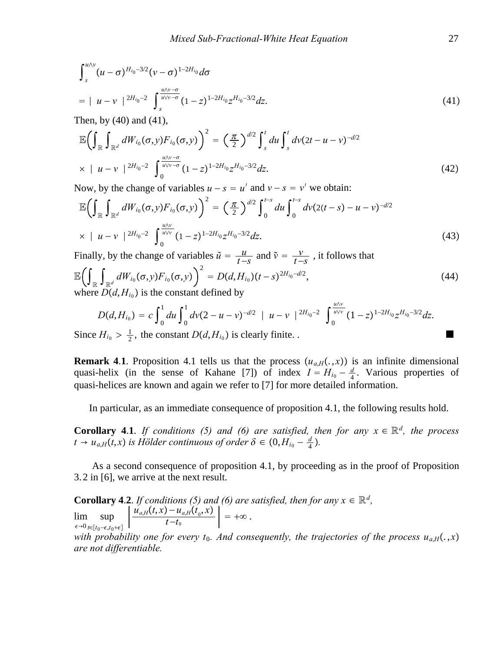$$
\int_{s}^{u \wedge v} (u - \sigma)^{H_{i_0} - 3/2} (v - \sigma)^{1 - 2H_{i_0}} d\sigma
$$
\n
$$
= |u - v|^{2H_{i_0} - 2} \int_{s}^{\frac{u \wedge v - \sigma}{u \vee v - \sigma}} (1 - z)^{1 - 2H_{i_0}} z^{H_{i_0} - 3/2} dz.
$$
\n(41)

Then, by (40) and (41),

$$
\mathbb{E}\left(\int_{\mathbb{R}}\int_{\mathbb{R}^{d}}dW_{i_{0}}(\sigma,y)F_{i_{0}}(\sigma,y)\right)^{2}=\left(\frac{\pi}{2}\right)^{d/2}\int_{s}^{t}du\int_{s}^{t}dv(2t-u-v)^{-d/2}
$$
\n
$$
\times \left|u-v\right|^{2H_{i_{0}-2}}\int_{0}^{\frac{u\wedge v-\sigma}{u\vee v-\sigma}}(1-z)^{1-2H_{i_{0}}}z^{H_{i_{0}-3/2}}dz.\tag{42}
$$

Now, by the change of variables  $u - s = u'$  and  $v - s = v'$  we obtain:

$$
\mathbb{E}\left(\int_{\mathbb{R}}\int_{\mathbb{R}^{d}}dW_{i_{0}}(\sigma,y)F_{i_{0}}(\sigma,y)\right)^{2}=\left(\frac{\pi}{2}\right)^{d/2}\int_{0}^{t-s}du\int_{0}^{t-s}d\nu(2(t-s)-u-\nu)^{-d/2}
$$
\n
$$
\times \left|u-\nu\right|^{2H_{i_{0}-2}}\int_{0}^{\frac{u\wedge\nu}{u\vee\nu}}(1-z)^{1-2H_{i_{0}}}z^{H_{i_{0}-3/2}}dz.
$$
\n(43)

Finally, by the change of variables 
$$
\tilde{u} = \frac{u}{t-s}
$$
 and  $\tilde{v} = \frac{v}{t-s}$ , it follows that  
\n
$$
\mathbb{E}\left(\int_{\mathbb{R}} \int_{\mathbb{R}^d} dW_{i_0}(\sigma, y) F_{i_0}(\sigma, y) \right)^2 = D(d, H_{i_0})(t-s)^{2H_{i_0}-d/2},
$$
\nwhere  $D(d, H_{i_0})$  is the constant defined by

$$
D(d, H_{i_0}) = c \int_0^1 du \int_0^1 dv (2 - u - v)^{-d/2} \mid u - v \mid ^{2H_{i_0} - 2} \int_0^{\frac{u/v}{u/v}} (1 - z)^{1 - 2H_{i_0}} z^{H_{i_0} - 3/2} dz.
$$

Since  $H_{i_0} > \frac{1}{2}$ , the constant  $D(d, H_{i_0})$  is clearly finite. .

**Remark 4.1.** Proposition 4.1 tells us that the process  $(u_{a,H}(.,x))$  is an infinite dimensional quasi-helix (in the sense of Kahane [7]) of index  $I = H_{i_0} - \frac{d}{4}$ . Various properties of quasi-helices are known and again we refer to [7] for more detailed information.

In particular, as an immediate consequence of proposition 4.1, the following results hold.

**Corollary 4.1.** *If conditions (5) and (6) are satisfied, then for any*  $x \in \mathbb{R}^d$ *, the process*  $t \rightarrow u_{a,H}(t,x)$  *is Hölder continuous of order*  $\delta \in (0, H_{i_0} - \frac{d}{4})$ *.* 

As a second consequence of proposition 4.1, by proceeding as in the proof of Proposition 3. 2 in [6], we arrive at the next result.

**Corollary 4.2.** *If conditions (5) and (6) are satisfied, then for any*  $x \in \mathbb{R}^d$ ,  $\epsilon \rightarrow 0$ lim *t*∈[*t*<sub>0</sub>− $\epsilon$ ,*t*<sub>0</sub>+ $\epsilon$ ]  $\sup$   $\frac{u_{a,H}(t,x) - u_{a,H}(t_0,x)}{t_0}$  $\frac{u_{a,H}(v_0, x)}{t-t_0}$  = + $\infty$ . *with probability one for every t<sub>0</sub>. And consequently, the trajectories of the process*  $u_{a,H}(.,x)$ *are not differentiable.*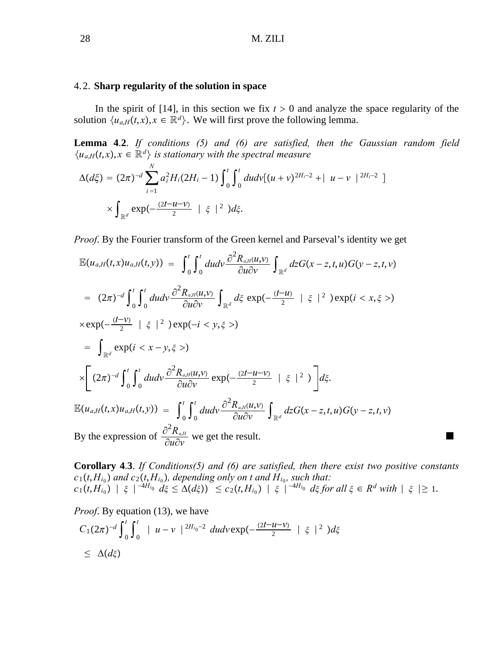### 4. 2. **Sharp regularity of the solution in space**

In the spirit of [14], in this section we fix  $t > 0$  and analyze the space regularity of the solution  $\{u_{a,H}(t,x), x \in \mathbb{R}^d\}$ . We will first prove the following lemma.

**Lemma 4**.**2**. *If conditions (5) and (6) are satisfied, then the Gaussian random field*  ${u_{a,H}(t,x), x \in \mathbb{R}^d}$  *is stationary with the spectral measure* 

$$
\Delta(d\xi) = (2\pi)^{-d} \sum_{i=1}^{N} a_i^2 H_i (2H_i - 1) \int_0^t \int_0^t du dv [(u+v)^{2H_i - 2} + | u - v |^{2H_i - 2}]
$$
  
 
$$
\times \int_{\mathbb{R}^d} \exp(-\frac{(2t - u - v)}{2}) \mid \xi \mid^2) d\xi.
$$

*Proof*. By the Fourier transform of the Green kernel and Parseval's identity we get

$$
\mathbb{E}(u_{a,H}(t,x)u_{a,H}(t,y)) = \int_{0}^{t} \int_{0}^{t} du dv \frac{\partial^{2} R_{a,H}(u,y)}{\partial u \partial v} \int_{\mathbb{R}^{d}} dz G(x-z,t,u)G(y-z,t,v)
$$
  
\n
$$
= (2\pi)^{-d} \int_{0}^{t} \int_{0}^{t} du dv \frac{\partial^{2} R_{a,H}(u,y)}{\partial u \partial v} \int_{\mathbb{R}^{d}} d\xi \exp(-\frac{(t-u)}{2}) \xi |^{2} \exp(i \langle x, \xi \rangle)
$$
  
\n
$$
\times \exp(-\frac{(t-v)}{2}) \xi |^{2} \exp(-i \langle y, \xi \rangle)
$$
  
\n
$$
= \int_{\mathbb{R}^{d}} \exp(i \langle x-y, \xi \rangle)
$$
  
\n
$$
\times \left[ (2\pi)^{-d} \int_{0}^{t} \int_{0}^{t} du dv \frac{\partial^{2} R_{a,H}(u,y)}{\partial u \partial v} \exp(-\frac{(2t-u-v)}{2}) \xi |^{2} \right] d\xi.
$$
  
\n
$$
\mathbb{E}(u_{a,H}(t,x)u_{a,H}(t,y)) = \int_{0}^{t} \int_{0}^{t} du dv \frac{\partial^{2} R_{a,H}(u,y)}{\partial u \partial v} \int_{\mathbb{R}^{d}} dz G(x-z,t,u)G(y-z,t,v)
$$
  
\nBy the expression of  $\frac{\partial^{2} R_{a,H}}{\partial u \partial v}$  we get the result.

**Corollary 4**.**3**. *If Conditions(5) and (6) are satisfied, then there exist two positive constants*  $c_1(t, H_{i_0})$  and  $c_2(t, H_{i_0})$ , depending only on t and  $H_{i_0}$ , such that:  $c_1(t, H_{i_0})$  |  $\xi$  |<sup>−4*H*<sub>i0</sub></sup>  $d\xi \leq \Delta(d\xi)$ )  $\leq c_2(t, H_{i_0})$  |  $\xi$  |<sup>−4*H*<sub>i0</sub></sub>  $d\xi$  *for all*  $\xi \in R^d$  *with* |  $\xi$  |≥ 1.</sup>

*Proof.* By equation (13), we have  
\n
$$
C_1(2\pi)^{-d} \int_0^t \int_0^t |u - v|^{2H_{i_0}-2} du dv \exp(-\frac{(2t-u-v)}{2}) \mid \xi \mid^2) d\xi
$$
  
\n $\leq \Delta(d\xi)$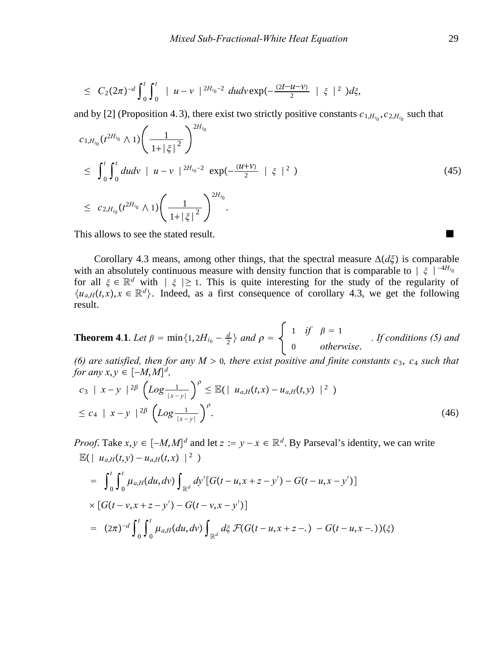$$
\leq C_2 (2\pi)^{-d} \int_0^t \int_0^t |u-v|^{2H_{i_0}-2} du dv \exp(-\frac{(2t-u-v)}{2} | \xi |^2) d\xi,
$$

and by [2] (Proposition 4.3), there exist two strictly positive constants  $c_{1,H_{i_0}}, c_{2,H_{i_0}}$  such that

$$
c_{1,H_{i_0}}(t^{2H_{i_0}} \wedge 1) \left( \frac{1}{1+|\xi|^2} \right)^{2H_{i_0}}
$$
  
\n
$$
\leq \int_0^t \int_0^t du dv \ | \ u - v \ |^{2H_{i_0}-2} \ \exp(-\frac{(u+v)}{2} \ | \ \xi \ |^2)
$$
  
\n
$$
\leq c_{2,H_{i_0}}(t^{2H_{i_0}} \wedge 1) \left( \frac{1}{1+|\xi|^2} \right)^{2H_{i_0}}.
$$
\n
$$
(45)
$$

This allows to see the stated result.

Corollary 4.3 means, among other things, that the spectral measure  $\Delta(d\xi)$  is comparable with an absolutely continuous measure with density function that is comparable to  $\vert \xi \vert^{-4H_{i_0}}$ for all  $\xi \in \mathbb{R}^d$  with  $|\xi| \geq 1$ . This is quite interesting for the study of the regularity of  ${u_{a,H}(t,x), x \in \mathbb{R}^d}$ . Indeed, as a first consequence of corollary 4.3, we get the following result.

**Theorem 4.1.** *Let*  $\beta = \min\{1, 2H_{i_0} - \frac{d}{2}\}$  and  $\rho = \begin{cases} 1 & \text{if } \beta = 1 \\ 0 & \text{otherwise.} \end{cases}$  *. If conditions (5) and* 

*(6) are satisfied, then for any M > 0, there exist positive and finite constants*  $c_3$ *,*  $c_4$  *such that for any x,y*  $\in [-M, M]^d$ ,

$$
c_3 | x - y |^{2\beta} \left( Log \frac{1}{|x - y|} \right)^{\rho} \leq \mathbb{E}(|u_{a,H}(t,x) - u_{a,H}(t,y)|^2)
$$
  
 
$$
\leq c_4 | x - y |^{2\beta} \left( Log \frac{1}{|x - y|} \right)^{\rho}.
$$
 (46)

*Proof.* Take  $x, y \in [-M, M]^d$  and let  $z := y - x \in \mathbb{R}^d$ . By Parseval's identity, we can write  $\mathbb{E}(|u_{a,H}(t,y) - u_{a,H}(t,x)|^2)$ 

$$
= \int_0^t \int_0^t \mu_{a,H}(du, dv) \int_{\mathbb{R}^d} dy' [G(t - u, x + z - y') - G(t - u, x - y')] \times [G(t - v, x + z - y') - G(t - v, x - y')] \n= (2\pi)^{-d} \int_0^t \int_0^t \mu_{a,H}(du, dv) \int_{\mathbb{R}^d} d\xi \ \mathcal{F}(G(t - u, x + z - \cdot) - G(t - u, x - \cdot))(\xi)
$$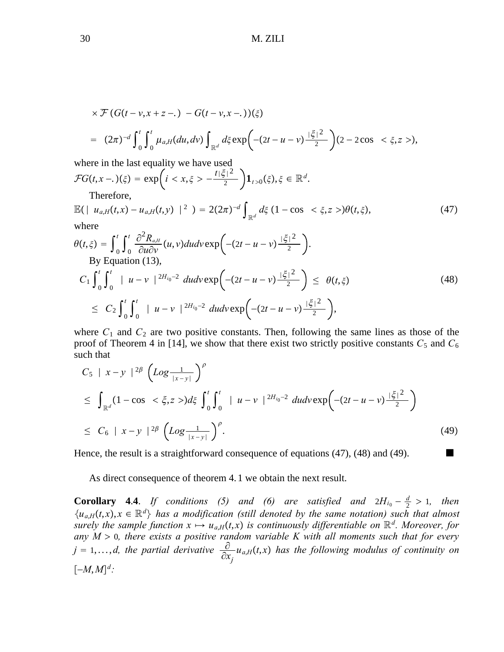$$
\times \mathcal{F}(G(t-v,x+z-.) - G(t-v,x-.))(\xi)
$$
  
=  $(2\pi)^{-d} \int_{0}^{t} \int_{0}^{t} \mu_{a,H}(du, dv) \int_{\mathbb{R}^{d}} d\xi \exp\left(-(2t-u-v)\frac{|\xi|^{2}}{2}\right) (2-2\cos \langle \xi, z \rangle),$ 

where in the last equality we have used  $\mathcal{F}G(t,x-)(\xi) = \exp\left(i < x,\xi > -\frac{t|\xi|^2}{2}\right)1_{t>0}(\xi), \xi \in \mathbb{R}^d.$ 

Therefore,

$$
\mathbb{E}\left(\left| u_{a,H}(t,x) - u_{a,H}(t,y) \right|^{2}\right) = 2(2\pi)^{-d} \int_{\mathbb{R}^{d}} d\xi \left(1 - \cos \langle \xi, z \rangle \right) \theta(t,\xi), \tag{47}
$$

where

$$
\theta(t,\xi) = \int_0^t \int_0^t \frac{\partial^2 R_{a,H}}{\partial u \partial v} (u,v) du dv \exp\left(-(2t - u - v)\frac{|\xi|^2}{2}\right).
$$
  
By Equation (13),  

$$
C_1 \int_0^t \int_0^t |u - v|^{2H_{i_0}-2} du dv \exp\left(-(2t - u - v)\frac{|\xi|^2}{2}\right) \leq \theta(t,\xi)
$$
  

$$
\leq C_2 \int_0^t \int_0^t |u - v|^{2H_{i_0}-2} du dv \exp\left(-(2t - u - v)\frac{|\xi|^2}{2}\right),
$$
 (48)

where  $C_1$  and  $C_2$  are two positive constants. Then, following the same lines as those of the proof of Theorem 4 in [14], we show that there exist two strictly positive constants  $C_5$  and  $C_6$ such that

$$
C_5 | x - y |^{2\beta} \left( Log \frac{1}{|x - y|} \right)^{\beta}
$$
  
\n
$$
\leq \int_{\mathbb{R}^d} (1 - \cos \langle \xi, z \rangle) d\xi \int_0^t \int_0^t |u - v|^{2H_{i_0} - 2} du dv \exp \left( -(2t - u - v) \frac{|\xi|^2}{2} \right)
$$
  
\n
$$
\leq C_6 |x - y|^{2\beta} \left( Log \frac{1}{|x - y|} \right)^{\beta}.
$$
\n(49)

Hence, the result is a straightforward consequence of equations  $(47)$ ,  $(48)$  and  $(49)$ .

As direct consequence of theorem 4. 1 we obtain the next result.

**Corollary 4.4.** *If conditions (5) and (6) are satisfied and*  $2H_{i_0} - \frac{d}{2} > 1$ , then  $\{u_{a,H}(t,x), x \in \mathbb{R}^d\}$  has a modification (still denoted by the same notation) such that almost *surely the sample function*  $x \mapsto u_{a,H}(t,x)$  *is continuously differentiable on*  $\mathbb{R}^d$ *. Moreover, for* any  $M > 0$ , there exists a positive random variable K with all moments such that for every *j* = 1,...,*d, the partial derivative*  $\frac{\partial}{\partial x}$ ∂*xj ua*,*Ht*, *x has the following modulus of continuity on* −*M*,*Md:*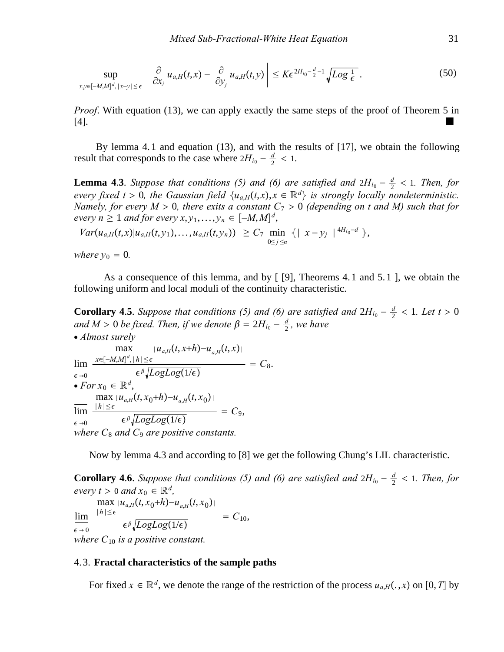$$
\sup_{x,y\in[-M,M]^d,\,|x-y|\leq\epsilon}\left|\frac{\partial}{\partial x_j}u_{a,H}(t,x)-\frac{\partial}{\partial y_j}u_{a,H}(t,y)\right|\leq K\epsilon^{2H_{i_0}-\frac{d}{2}-1}\sqrt{Log\frac{1}{\epsilon}}\,.
$$
\n(50)

*Proof.* With equation (13), we can apply exactly the same steps of the proof of Theorem 5 in [4].

By lemma 4. 1 and equation (13), and with the results of [17], we obtain the following result that corresponds to the case where  $2H_{i_0} - \frac{d}{2} < 1$ .

**Lemma 4.3**. *Suppose that conditions (5) and (6) are satisfied and*  $2H_{i0} - \frac{d}{2} < 1$ *. Then, for every fixed t* > 0, the Gaussian field  $\{u_{a,H}(t,x), x \in \mathbb{R}^d\}$  is strongly locally nondeterministic. *Namely, for every*  $M > 0$ , there exits a constant  $C_7 > 0$  (depending on t and M) such that for *every*  $n \geq 1$  *and for every*  $x, y_1, \ldots, y_n \in [-M, M]^d$ ,

$$
Var(u_{a,H}(t,x)|u_{a,H}(t,y_1),...,u_{a,H}(t,y_n)) \geq C_7 \min_{0 \leq j \leq n} \{ |x-y_j| \}^{4H_{i_0}-d} \},
$$

*where*  $y_0 = 0$ *.* 

As a consequence of this lemma, and by [ [9], Theorems 4. 1 and 5. 1 ], we obtain the following uniform and local moduli of the continuity characteristic.

**Corollary 4.5**. *Suppose that conditions (5) and (6) are satisfied and*  $2H_{i0} - \frac{d}{2} < 1$ *. Let t* > 0  $\alpha$  *and M* > 0 *be fixed. Then, if we denote*  $\beta = 2H_{i_0} - \frac{d}{2}$ , we have ∙ *Almost surely*

$$
\lim_{\epsilon \to 0} \frac{x \in [-M,M]^d, |h| \leq \epsilon}{\max} \frac{|u_{a,H}(t,x+h) - u_{a,H}(t,x)|}{\epsilon \epsilon \sqrt{LogLog(1/\epsilon)}} = C_8.
$$
\n
$$
\text{For } x_0 \in \mathbb{R}^d, \frac{\max |u_{a,H}(t,x_0+h) - u_{a,H}(t,x_0)|}{\min \frac{|h| \leq \epsilon}{\epsilon \sqrt{LogLog(1/\epsilon)}}} = C_9,
$$
\n
$$
\text{where } C_8 \text{ and } C_9 \text{ are positive constants.}
$$

Now by lemma 4.3 and according to [8] we get the following Chung's LIL characteristic.

**Corollary 4.6.** *Suppose that conditions (5) and (6) are satisfied and*  $2H_{i0} - \frac{d}{2} < 1$ *. Then, for every*  $t > 0$  *and*  $x_0 \in \mathbb{R}^d$ ,

 $\epsilon \rightarrow 0$ lim <sup>∣</sup>*h*∣≤ *max*  $|u_{a,H}(t, x_0+h) - u_{a,H}(t, x_0)|$  $\epsilon^{\beta} \sqrt{LogLog(1/\epsilon)}$  =  $C_{10}$ , *where*  $C_{10}$  *is a positive constant.* 

#### 4. 3. **Fractal characteristics of the sample paths**

For fixed  $x \in \mathbb{R}^d$ , we denote the range of the restriction of the process  $u_{a,H}(.,x)$  on [0,*T*] by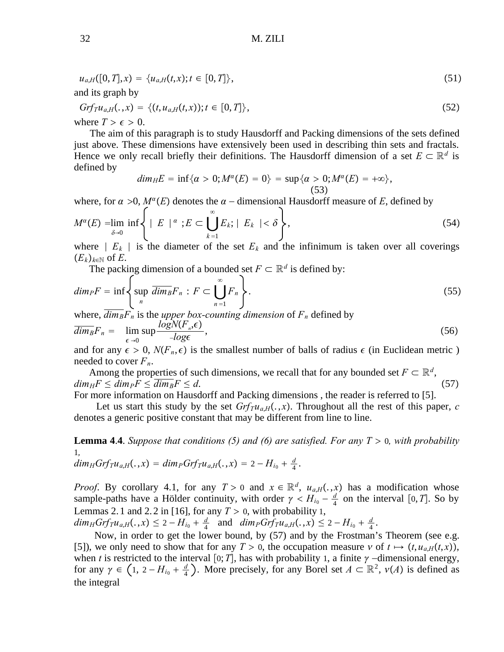$$
u_{a,H}([0,T],x) = \{u_{a,H}(t,x); t \in [0,T]\},\tag{51}
$$
  
and its graph by

and its graph by 
$$
G(f) = \left(\frac{f(x)}{f(x)}\right)^{1/2} + \left[\frac{f(x)}{f(x)}\right]^{1/2}
$$

$$
Grf_{T}u_{a,H}(.,x) = \{(t, u_{a,H}(t,x)); t \in [0,T]\},\tag{52}
$$

where  $T > \epsilon > 0$ .

The aim of this paragraph is to study Hausdorff and Packing dimensions of the sets defined just above. These dimensions have extensively been used in describing thin sets and fractals. Hence we only recall briefly their definitions. The Hausdorff dimension of a set  $E \subset \mathbb{R}^d$  is defined by

$$
dim_H E = \inf\{\alpha > 0; M^{\alpha}(E) = 0\} = \sup\{\alpha > 0; M^{\alpha}(E) = +\infty\},\tag{53}
$$

where, for  $\alpha > 0$ ,  $M^{\alpha}(E)$  denotes the  $\alpha$  – dimensional Hausdorff measure of *E*, defined by

$$
M^{\alpha}(E) = \lim_{\delta \to 0} \inf \left\{ \mid E \mid \alpha : E \subset \bigcup_{k=1}^{\infty} E_k; \mid E_k \mid < \delta \right\},\tag{54}
$$

where ∣ *Ek* ∣ is the diameter of the set *Ek* and the infinimum is taken over all coverings  $(E_k)_{k\in\mathbb{N}}$  of *E*.

The packing dimension of a bounded set  $F \subset \mathbb{R}^d$  is defined by:

$$
dim_{P}F = \inf \left\{ \sup_{n} \overline{dim_{B}}F_{n} : F \subset \bigcup_{n=1}^{\infty} F_{n} \right\}.
$$
\n
$$
(55)
$$

where,  $dim_B F_n$  is the *upper box-counting dimension* of  $F_n$  defined by

$$
\overline{\dim}_B F_n = \lim_{\epsilon \to 0} \sup \frac{\log N(F_n, \epsilon)}{-\log \epsilon}, \tag{56}
$$

and for any  $\epsilon > 0$ ,  $N(F_n, \epsilon)$  is the smallest number of balls of radius  $\epsilon$  (in Euclidean metric) needed to cover  $F_n$ .

Among the properties of such dimensions, we recall that for any bounded set  $F \subset \mathbb{R}^d$ ,  $dim_H F \leq dim_P F \leq dim_B F \leq d.$  (57)

For more information on Hausdorff and Packing dimensions , the reader is referred to [5].

Let us start this study by the set  $Grfru_{a,H}(.,x)$ . Throughout all the rest of this paper, *c* denotes a generic positive constant that may be different from line to line.

**Lemma 4.4.** *Suppose that conditions (5) and (6) are satisfied. For any*  $T > 0$ *, with probability* 1*,*

 $dim_H Grf_T u_{a,H}(.,x) = dim_P Grf_T u_{a,H}(.,x) = 2 - H_{i_0} + \frac{d}{4}.$ 

*Proof.* By corollary 4.1, for any  $T > 0$  and  $x \in \mathbb{R}^d$ ,  $u_{a,H}(.,x)$  has a modification whose sample-paths have a Hölder continuity, with order  $\gamma < H_{i_0} - \frac{d}{4}$  on the interval [0,*T*]. So by Lemmas 2.1 and 2.2 in [16], for any  $T > 0$ , with probability 1,

 $dim_H Grfru_{a,H}(., x) \leq 2 - H_{i_0} + \frac{d}{4}$  and  $dim_P Grfru_{a,H}(., x) \leq 2 - H_{i_0} + \frac{d}{4}$ .

Now, in order to get the lower bound, by (57) and by the Frostman's Theorem (see e.g. [5]), we only need to show that for any  $T > 0$ , the occupation measure  $v$  of  $t \mapsto (t, u_{a,H}(t, x))$ , when *t* is restricted to the interval [0; *T*], has with probability 1, a finite  $\gamma$  -dimensional energy, for any  $\gamma \in (1, 2 - H_{i_0} + \frac{d}{4})$ . More precisely, for any Borel set  $A \subset \mathbb{R}^2$ ,  $\nu(A)$  is defined as the integral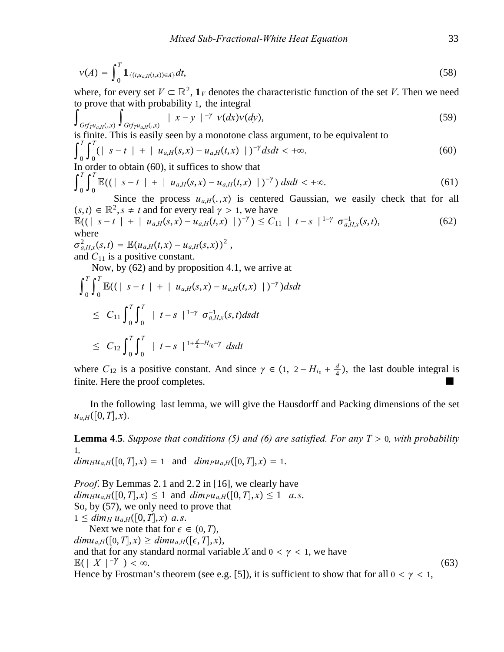$$
v(A) = \int_0^T \mathbf{1}_{\{(t, u_{a,H}(t,x)) \in A\}} dt,
$$
\n(58)

where, for every set  $V \subset \mathbb{R}^2$ ,  $\mathbf{1}_V$  denotes the characteristic function of the set *V*. Then we need to prove that with probability 1, the integral

$$
\int_{\text{Grf}_{\text{Tu}_{a,H}(.,x)}} \int_{\text{Grf}_{\text{Tu}_{a,H}(.,x)}} |x-y|^{-\gamma} \nu(dx) \nu(dy), \tag{59}
$$

is finite. This is easily seen by a monotone class argument, to be equivalent to  $f^T$ ,  $f^T$ 

$$
\int_{0}^{1} \int_{0}^{1} (|s-t| + |u_{a,H}(s,x) - u_{a,H}(t,x) |)^{-\gamma} ds dt < +\infty.
$$
 (60)

In order to obtain (60), it suffices to show that

$$
\int_0^T \int_0^T \mathbb{E}((|s-t| + |u_{a,H}(s,x) - u_{a,H}(t,x) |)^{-\gamma}) ds dt < +\infty.
$$
 (61)

Since the process  $u_{a,H}(.,x)$  is centered Gaussian, we easily check that for all  $(s,t) \in \mathbb{R}^2$ ,  $s \neq t$  and for every real  $\gamma > 1$ , we have

$$
\mathbb{E}((|s-t|+|u_{a,H}(s,x)-u_{a,H}(t,x)|)^{-\gamma}) \leq C_{11} |t-s|^{1-\gamma} \sigma_{a,H,x}^{-1}(s,t),
$$
\n(62)

\nwhere

 $\sigma_{a,H,x}^{2}(s,t) = \mathbb{E}(u_{a,H}(t,x) - u_{a,H}(s,x))^{2},$ and  $C_{11}$  is a positive constant.

Now, by (62) and by proposition 4.1, we arrive at

$$
\int_{0}^{T} \int_{0}^{T} \mathbb{E}((|s-t| + |u_{a,H}(s,x) - u_{a,H}(t,x)|)^{-\gamma}) ds dt
$$
  
\n
$$
\leq C_{11} \int_{0}^{T} \int_{0}^{T} |t-s|^{1-\gamma} \sigma_{a,H,x}^{-1}(s,t) ds dt
$$
  
\n
$$
\leq C_{12} \int_{0}^{T} \int_{0}^{T} |t-s|^{1 + \frac{d}{4} - H_{i_0} - \gamma} ds dt
$$

where  $C_{12}$  is a positive constant. And since  $\gamma \in (1, 2 - H_{i_0} + \frac{d}{4})$ , the last double integral is finite. Here the proof completes.

In the following last lemma, we will give the Hausdorff and Packing dimensions of the set  $u_{a,H}([0,T],x)$ .

**Lemma 4.5**. *Suppose that conditions (5) and (6) are satisfied. For any*  $T > 0$ *, with probability* 1*,*

 $dim_H u_{a,H}([0,T],x) = 1$  and  $dim_P u_{a,H}([0,T],x) = 1$ .

*Proof*. By Lemmas 2. 1 and 2. 2 in [16], we clearly have  $dim_H u_{a,H}([0,T],x) \leq 1$  and  $dim_P u_{a,H}([0,T],x) \leq 1$  *a.s.* So, by (57), we only need to prove that  $1 \leq dim_H u_{a,H}([0,T],x)$  a.s. Next we note that for  $\epsilon \in (0, T)$ ,  $dim u_{a,H}([0,T],x) \geq dim u_{a,H}([\epsilon,T],x),$ and that for any standard normal variable *X* and  $0 < \gamma < 1$ , we have  $\mathbb{E}(|X|^{-\gamma}) < \infty.$  (63) Hence by Frostman's theorem (see e.g. [5]), it is sufficient to show that for all  $0 < \gamma < 1$ ,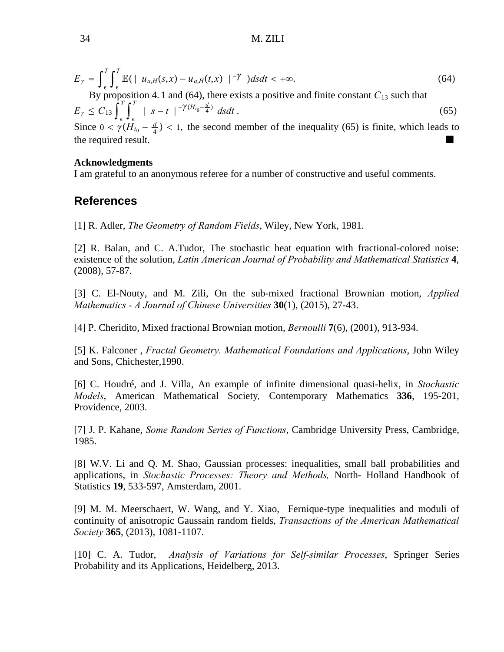34 M. ZILI

$$
E_{\gamma} = \int_{\epsilon}^{T} \int_{\epsilon}^{T} \mathbb{E}(\mid u_{a,H}(s,x) - u_{a,H}(t,x) \mid^{-\gamma}) ds dt < +\infty.
$$
 (64)

By proposition 4. 1 and (64), there exists a positive and finite constant  $C_{13}$  such that  $E_{\gamma} \leq C_{13} \int_{\epsilon}^{T}$  $T$ <sub> $\epsilon$ </sub>  $\int_{\epsilon}^{T}$  $T$  | *s* − *t* |<sup>− $\gamma$ ( $H_{i_0}$ - $\frac{d}{4}$ ) dsdt. (65)</sup>

Since  $0 < \gamma(H_{i_0} - \frac{d}{4}) < 1$ , the second member of the inequality (65) is finite, which leads to the required result.

## **Acknowledgments**

I am grateful to an anonymous referee for a number of constructive and useful comments.

# **References**

[1] R. Adler, *The Geometry of Random Fields*, Wiley, New York, 1981.

[2] R. Balan, and C. A.Tudor, The stochastic heat equation with fractional-colored noise: existence of the solution, *Latin American Journal of Probability and Mathematical Statistics* **4**, (2008), 57-87.

[3] C. El-Nouty, and M. Zili, On the sub-mixed fractional Brownian motion, *Applied Mathematics - A Journal of Chinese Universities* **30**(1), (2015), 27-43.

[4] P. Cheridito, Mixed fractional Brownian motion, *Bernoulli* **7**(6), (2001), 913-934.

[5] K. Falconer , *Fractal Geometry. Mathematical Foundations and Applications*, John Wiley and Sons, Chichester,1990.

[6] C. Houdré, and J. Villa, An example of infinite dimensional quasi-helix, in *Stochastic Models*, American Mathematical Society*,* Contemporary Mathematics **336**, 195-201, Providence, 2003.

[7] J. P. Kahane, *Some Random Series of Functions*, Cambridge University Press, Cambridge, 1985.

[8] W.V. Li and Q. M. Shao, Gaussian processes: inequalities, small ball probabilities and applications, in *Stochastic Processes: Theory and Methods,* North- Holland Handbook of Statistics **19**, 533-597, Amsterdam, 2001.

[9] M. M. Meerschaert, W. Wang, and Y. Xiao, Fernique-type inequalities and moduli of continuity of anisotropic Gaussain random fields, *Transactions of the American Mathematical Society* **365**, (2013), 1081-1107.

[10] C. A. Tudor, *Analysis of Variations for Self-similar Processes*, Springer Series Probability and its Applications, Heidelberg, 2013.